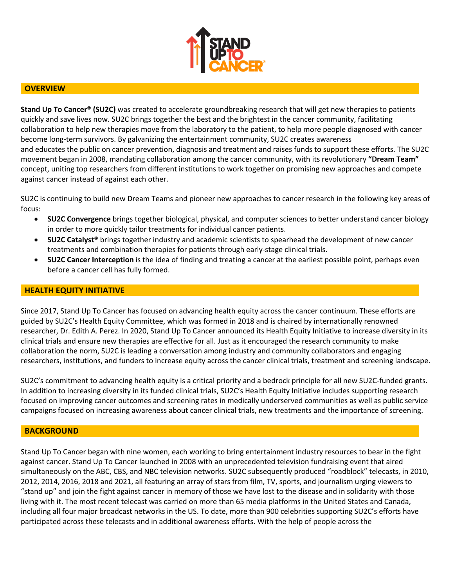

## **OVERVIEW**

**Stand Up To Cancer® (SU2C)** was created to accelerate groundbreaking research that will get new therapies to patients quickly and save lives now. SU2C brings together the best and the brightest in the cancer community, facilitating collaboration to help new therapies move from the laboratory to the patient, to help more people diagnosed with cancer become long-term survivors. By galvanizing the entertainment community, SU2C creates awareness and educates the public on cancer prevention, diagnosis and treatment and raises funds to support these efforts. The SU2C movement began in 2008, mandating collaboration among the cancer community, with its revolutionary **"Dream Team"**  concept, uniting top researchers from different institutions to work together on promising new approaches and compete against cancer instead of against each other.

SU2C is continuing to build new Dream Teams and pioneer new approaches to cancer research in the following key areas of focus:

- **SU2C Convergence** brings together biological, physical, and computer sciences to better understand cancer biology in order to more quickly tailor treatments for individual cancer patients.
- **SU2C Catalyst®** brings together industry and academic scientists to spearhead the development of new cancer treatments and combination therapies for patients through early-stage clinical trials.
- **SU2C Cancer Interception** is the idea of finding and treating a cancer at the earliest possible point, perhaps even before a cancer cell has fully formed.

### **HEALTH EQUITY INITIATIVE**

Since 2017, Stand Up To Cancer has focused on advancing health equity across the cancer continuum. These efforts are guided by SU2C's Health Equity Committee, which was formed in 2018 and is chaired by internationally renowned researcher, Dr. Edith A. Perez. In 2020, Stand Up To Cancer announced its Health Equity Initiative to increase diversity in its clinical trials and ensure new therapies are effective for all. Just as it encouraged the research community to make collaboration the norm, SU2C is leading a conversation among industry and community collaborators and engaging researchers, institutions, and funders to increase equity across the cancer clinical trials, treatment and screening landscape.

SU2C's commitment to advancing health equity is a critical priority and a bedrock principle for all new SU2C-funded grants. In addition to increasing diversity in its funded clinical trials, SU2C's Health Equity Initiative includes supporting research focused on improving cancer outcomes and screening rates in medically underserved communities as well as public service campaigns focused on increasing awareness about cancer clinical trials, new treatments and the importance of screening.

#### **BACKGROUND**

Stand Up To Cancer began with nine women, each working to bring entertainment industry resources to bear in the fight against cancer. Stand Up To Cancer launched in 2008 with an unprecedented television fundraising event that aired simultaneously on the ABC, CBS, and NBC television networks. SU2C subsequently produced "roadblock" telecasts, in 2010, 2012, 2014, 2016, 2018 and 2021, all featuring an array of stars from film, TV, sports, and journalism urging viewers to "stand up" and join the fight against cancer in memory of those we have lost to the disease and in solidarity with those living with it. The most recent telecast was carried on more than 65 media platforms in the United States and Canada, including all four major broadcast networks in the US. To date, more than 900 celebrities supporting SU2C's efforts have participated across these telecasts and in additional awareness efforts. With the help of people across the